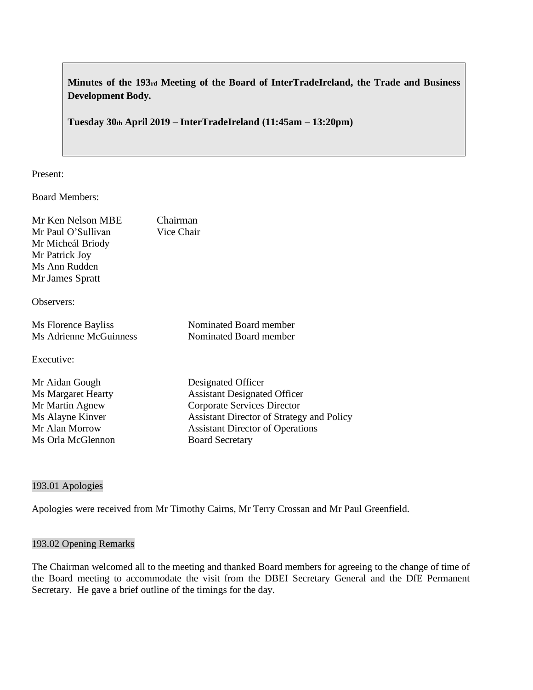**Minutes of the 193rd Meeting of the Board of InterTradeIreland, the Trade and Business Development Body.**

**Tuesday 30th April 2019 – InterTradeIreland (11:45am – 13:20pm)**

Present:

Board Members:

| Mr Ken Nelson MBE<br>Mr Paul O'Sullivan<br>Mr Micheál Briody<br>Mr Patrick Joy<br>Ms Ann Rudden<br>Mr James Spratt | Chairman<br>Vice Chair                           |
|--------------------------------------------------------------------------------------------------------------------|--------------------------------------------------|
|                                                                                                                    |                                                  |
| Observers:                                                                                                         |                                                  |
| Ms Florence Bayliss                                                                                                | Nominated Board member                           |
| Ms Adrienne McGuinness                                                                                             | Nominated Board member                           |
| Executive:                                                                                                         |                                                  |
| Mr Aidan Gough                                                                                                     | Designated Officer                               |
| Ms Margaret Hearty                                                                                                 | <b>Assistant Designated Officer</b>              |
| Mr Martin Agnew                                                                                                    | Corporate Services Director                      |
| Ms Alayne Kinver                                                                                                   | <b>Assistant Director of Strategy and Policy</b> |
| Mr Alan Morrow                                                                                                     | <b>Assistant Director of Operations</b>          |
| Ms Orla McGlennon                                                                                                  | <b>Board Secretary</b>                           |

### 193.01 Apologies

Apologies were received from Mr Timothy Cairns, Mr Terry Crossan and Mr Paul Greenfield.

### 193.02 Opening Remarks

The Chairman welcomed all to the meeting and thanked Board members for agreeing to the change of time of the Board meeting to accommodate the visit from the DBEI Secretary General and the DfE Permanent Secretary. He gave a brief outline of the timings for the day.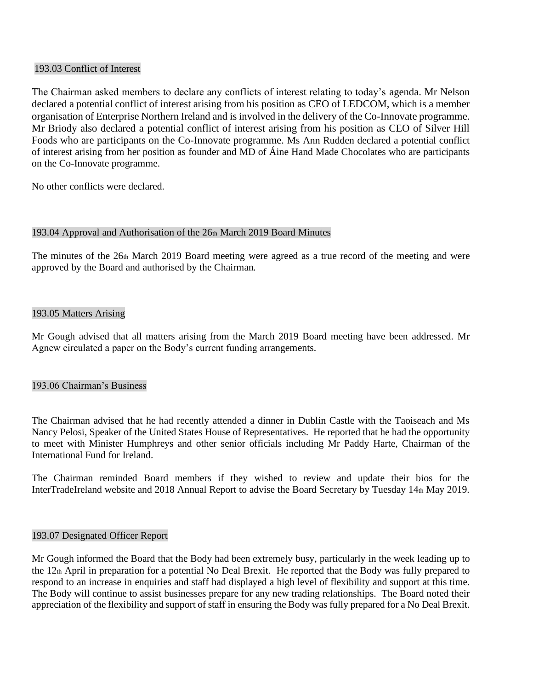### 193.03 Conflict of Interest

The Chairman asked members to declare any conflicts of interest relating to today's agenda. Mr Nelson declared a potential conflict of interest arising from his position as CEO of LEDCOM, which is a member organisation of Enterprise Northern Ireland and is involved in the delivery of the Co-Innovate programme. Mr Briody also declared a potential conflict of interest arising from his position as CEO of Silver Hill Foods who are participants on the Co-Innovate programme. Ms Ann Rudden declared a potential conflict of interest arising from her position as founder and MD of Áine Hand Made Chocolates who are participants on the Co-Innovate programme.

No other conflicts were declared.

### 193.04 Approval and Authorisation of the 26th March 2019 Board Minutes

The minutes of the  $26th$  March 2019 Board meeting were agreed as a true record of the meeting and were approved by the Board and authorised by the Chairman.

### 193.05 Matters Arising

Mr Gough advised that all matters arising from the March 2019 Board meeting have been addressed. Mr Agnew circulated a paper on the Body's current funding arrangements.

## 193.06 Chairman's Business

The Chairman advised that he had recently attended a dinner in Dublin Castle with the Taoiseach and Ms Nancy Pelosi, Speaker of the United States House of Representatives. He reported that he had the opportunity to meet with Minister Humphreys and other senior officials including Mr Paddy Harte, Chairman of the International Fund for Ireland.

The Chairman reminded Board members if they wished to review and update their bios for the InterTradeIreland website and 2018 Annual Report to advise the Board Secretary by Tuesday 14th May 2019.

#### 193.07 Designated Officer Report

Mr Gough informed the Board that the Body had been extremely busy, particularly in the week leading up to the 12th April in preparation for a potential No Deal Brexit. He reported that the Body was fully prepared to respond to an increase in enquiries and staff had displayed a high level of flexibility and support at this time. The Body will continue to assist businesses prepare for any new trading relationships. The Board noted their appreciation of the flexibility and support of staff in ensuring the Body was fully prepared for a No Deal Brexit.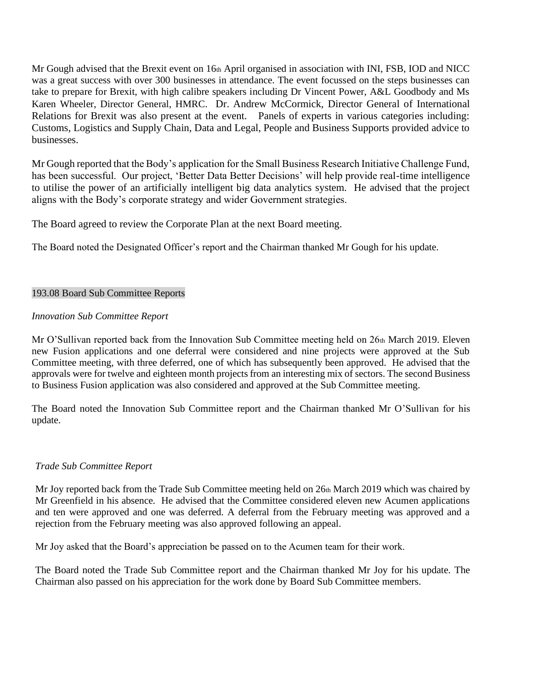Mr Gough advised that the Brexit event on 16th April organised in association with INI, FSB, IOD and NICC was a great success with over 300 businesses in attendance. The event focussed on the steps businesses can take to prepare for Brexit, with high calibre speakers including Dr Vincent Power, A&L Goodbody and Ms Karen Wheeler, Director General, HMRC. Dr. Andrew McCormick, Director General of International Relations for Brexit was also present at the event. Panels of experts in various categories including: Customs, Logistics and Supply Chain, Data and Legal, People and Business Supports provided advice to businesses.

Mr Gough reported that the Body's application for the Small Business Research Initiative Challenge Fund, has been successful. Our project, 'Better Data Better Decisions' will help provide real-time intelligence to utilise the power of an artificially intelligent big data analytics system. He advised that the project aligns with the Body's corporate strategy and wider Government strategies.

The Board agreed to review the Corporate Plan at the next Board meeting.

The Board noted the Designated Officer's report and the Chairman thanked Mr Gough for his update.

## 193.08 Board Sub Committee Reports

# *Innovation Sub Committee Report*

Mr O'Sullivan reported back from the Innovation Sub Committee meeting held on 26th March 2019. Eleven new Fusion applications and one deferral were considered and nine projects were approved at the Sub Committee meeting, with three deferred, one of which has subsequently been approved. He advised that the approvals were for twelve and eighteen month projects from an interesting mix of sectors. The second Business to Business Fusion application was also considered and approved at the Sub Committee meeting.

The Board noted the Innovation Sub Committee report and the Chairman thanked Mr O'Sullivan for his update.

## *Trade Sub Committee Report*

Mr Joy reported back from the Trade Sub Committee meeting held on 26th March 2019 which was chaired by Mr Greenfield in his absence. He advised that the Committee considered eleven new Acumen applications and ten were approved and one was deferred. A deferral from the February meeting was approved and a rejection from the February meeting was also approved following an appeal.

Mr Joy asked that the Board's appreciation be passed on to the Acumen team for their work.

The Board noted the Trade Sub Committee report and the Chairman thanked Mr Joy for his update. The Chairman also passed on his appreciation for the work done by Board Sub Committee members.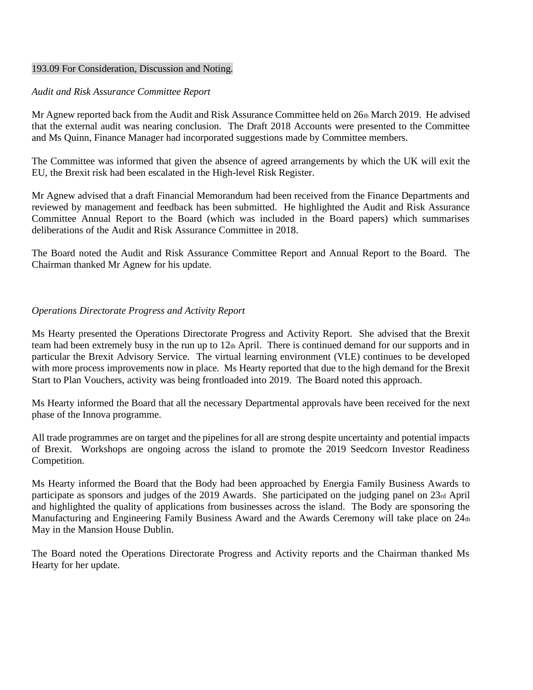#### 193.09 For Consideration, Discussion and Noting.

#### *Audit and Risk Assurance Committee Report*

Mr Agnew reported back from the Audit and Risk Assurance Committee held on 26th March 2019. He advised that the external audit was nearing conclusion. The Draft 2018 Accounts were presented to the Committee and Ms Quinn, Finance Manager had incorporated suggestions made by Committee members.

The Committee was informed that given the absence of agreed arrangements by which the UK will exit the EU, the Brexit risk had been escalated in the High-level Risk Register.

Mr Agnew advised that a draft Financial Memorandum had been received from the Finance Departments and reviewed by management and feedback has been submitted. He highlighted the Audit and Risk Assurance Committee Annual Report to the Board (which was included in the Board papers) which summarises deliberations of the Audit and Risk Assurance Committee in 2018.

The Board noted the Audit and Risk Assurance Committee Report and Annual Report to the Board. The Chairman thanked Mr Agnew for his update.

#### *Operations Directorate Progress and Activity Report*

Ms Hearty presented the Operations Directorate Progress and Activity Report. She advised that the Brexit team had been extremely busy in the run up to 12th April. There is continued demand for our supports and in particular the Brexit Advisory Service. The virtual learning environment (VLE) continues to be developed with more process improvements now in place. Ms Hearty reported that due to the high demand for the Brexit Start to Plan Vouchers, activity was being frontloaded into 2019. The Board noted this approach.

Ms Hearty informed the Board that all the necessary Departmental approvals have been received for the next phase of the Innova programme.

All trade programmes are on target and the pipelines for all are strong despite uncertainty and potential impacts of Brexit. Workshops are ongoing across the island to promote the 2019 Seedcorn Investor Readiness Competition.

Ms Hearty informed the Board that the Body had been approached by Energia Family Business Awards to participate as sponsors and judges of the 2019 Awards. She participated on the judging panel on 23rd April and highlighted the quality of applications from businesses across the island. The Body are sponsoring the Manufacturing and Engineering Family Business Award and the Awards Ceremony will take place on 24th May in the Mansion House Dublin.

The Board noted the Operations Directorate Progress and Activity reports and the Chairman thanked Ms Hearty for her update.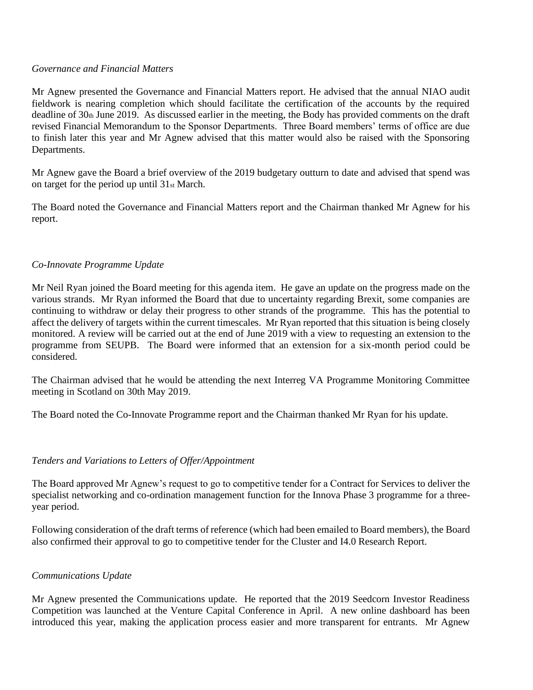#### *Governance and Financial Matters*

Mr Agnew presented the Governance and Financial Matters report. He advised that the annual NIAO audit fieldwork is nearing completion which should facilitate the certification of the accounts by the required deadline of 30th June 2019. As discussed earlier in the meeting, the Body has provided comments on the draft revised Financial Memorandum to the Sponsor Departments. Three Board members' terms of office are due to finish later this year and Mr Agnew advised that this matter would also be raised with the Sponsoring Departments.

Mr Agnew gave the Board a brief overview of the 2019 budgetary outturn to date and advised that spend was on target for the period up until 31st March.

The Board noted the Governance and Financial Matters report and the Chairman thanked Mr Agnew for his report.

### *Co-Innovate Programme Update*

Mr Neil Ryan joined the Board meeting for this agenda item. He gave an update on the progress made on the various strands. Mr Ryan informed the Board that due to uncertainty regarding Brexit, some companies are continuing to withdraw or delay their progress to other strands of the programme. This has the potential to affect the delivery of targets within the current timescales. Mr Ryan reported that this situation is being closely monitored. A review will be carried out at the end of June 2019 with a view to requesting an extension to the programme from SEUPB. The Board were informed that an extension for a six-month period could be considered.

The Chairman advised that he would be attending the next Interreg VA Programme Monitoring Committee meeting in Scotland on 30th May 2019.

The Board noted the Co-Innovate Programme report and the Chairman thanked Mr Ryan for his update.

## *Tenders and Variations to Letters of Offer/Appointment*

The Board approved Mr Agnew's request to go to competitive tender for a Contract for Services to deliver the specialist networking and co-ordination management function for the Innova Phase 3 programme for a threeyear period.

Following consideration of the draft terms of reference (which had been emailed to Board members), the Board also confirmed their approval to go to competitive tender for the Cluster and I4.0 Research Report.

## *Communications Update*

Mr Agnew presented the Communications update. He reported that the 2019 Seedcorn Investor Readiness Competition was launched at the Venture Capital Conference in April. A new online dashboard has been introduced this year, making the application process easier and more transparent for entrants. Mr Agnew